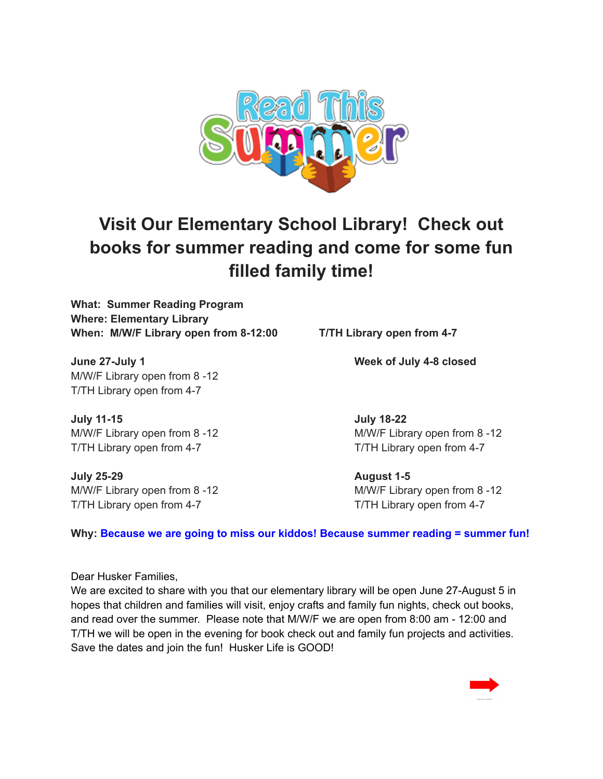

## **Visit Our Elementary School Library! Check out books for summer reading and come for some fun filled family time!**

**What: Summer Reading Program Where: Elementary Library When: M/W/F Library open from 8-12:00 T/TH Library open from 4-7**

**June 27-July 1 Week of July 4-8 closed** M/W/F Library open from 8 -12 T/TH Library open from 4-7

**July 11-15 July 18-22** T/TH Library open from 4-7 T/TH Library open from 4-7

**July 25-29 August 1-5** T/TH Library open from 4-7 T/TH Library open from 4-7

M/W/F Library open from 8 -12 M/W/F Library open from 8 -12

M/W/F Library open from 8 -12 M/W/F Library open from 8 -12

**Why: Because we are going to miss our kiddos! Because summer reading = summer fun!**

Dear Husker Families,

We are excited to share with you that our elementary library will be open June 27-August 5 in hopes that children and families will visit, enjoy crafts and family fun nights, check out books, and read over the summer. Please note that M/W/F we are open from 8:00 am - 12:00 and T/TH we will be open in the evening for book check out and family fun projects and activities. Save the dates and join the fun! Husker Life is GOOD!